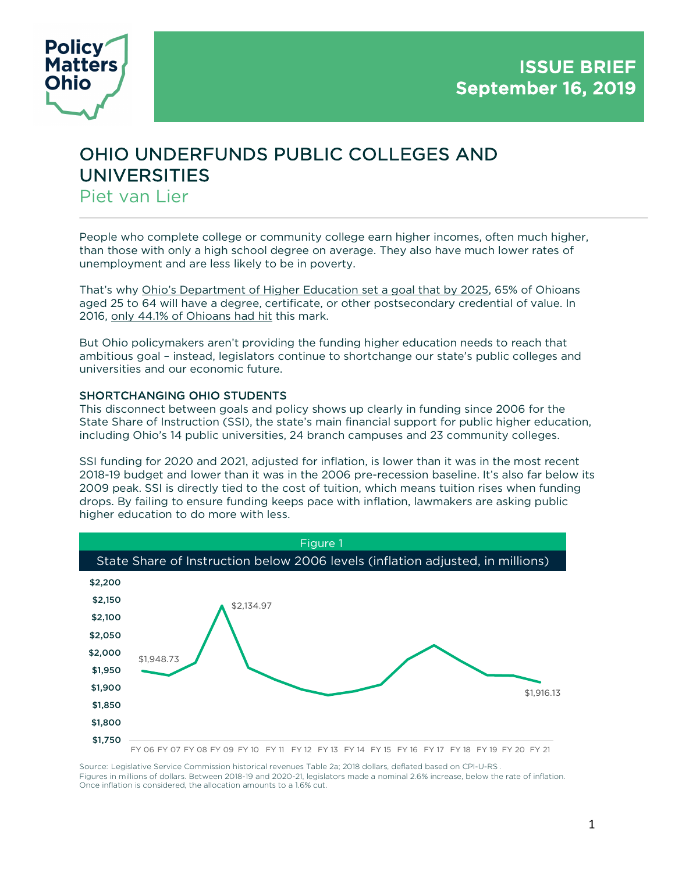

# OHIO UNDERFUNDS PUBLIC COLLEGES AND UNIVERSITIES Piet van Lier

People who complete college or community college earn higher incomes, often much higher, than those with only a high school degree on average. They also have much lower rates of unemployment and are less likely to be in poverty.

That's why Ohio's Department of Higher Education set a goal that by 2025, 65% of Ohioans aged 25 to 64 will have a degree, certificate, or other postsecondary credential of value. In 2016, only 44.1% of Ohioans had hit this mark.

But Ohio policymakers aren't providing the funding higher education needs to reach that ambitious goal – instead, legislators continue to shortchange our state's public colleges and universities and our economic future.

## SHORTCHANGING OHIO STUDENTS

This disconnect between goals and policy shows up clearly in funding since 2006 for the State Share of Instruction (SSI), the state's main financial support for public higher education, including Ohio's 14 public universities, 24 branch campuses and 23 community colleges.

SSI funding for 2020 and 2021, adjusted for inflation, is lower than it was in the most recent 2018-19 budget and lower than it was in the 2006 pre-recession baseline. It's also far below its 2009 peak. SSI is directly tied to the cost of tuition, which means tuition rises when funding drops. By failing to ensure funding keeps pace with inflation, lawmakers are asking public higher education to do more with less.



Source:  Legislative Service Commission historical revenues Table 2a; 2018 dollars, deflated based on CPI-U-RS . Figures in millions of dollars. Between 2018-19 and 2020-21, legislators made a nominal 2.6% increase, below the rate of inflation. Once inflation is considered, the allocation amounts to a 1.6% cut.